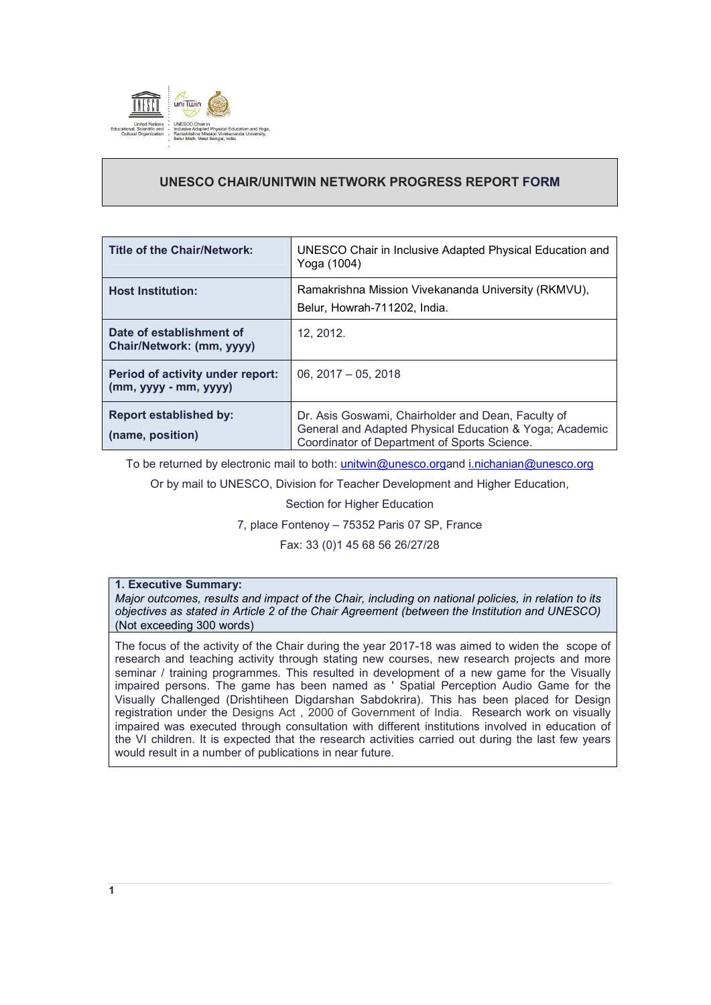

# **UNESCO CHAIR/UNITWIN NETWORK PROGRESS REPORT FORM**

| <b>Title of the Chair/Network:</b>                        | UNESCO Chair in Inclusive Adapted Physical Education and<br>Yoga (1004)                                                                                       |
|-----------------------------------------------------------|---------------------------------------------------------------------------------------------------------------------------------------------------------------|
| <b>Host Institution:</b>                                  | Ramakrishna Mission Vivekananda University (RKMVU),<br>Belur, Howrah-711202, India.                                                                           |
| Date of establishment of<br>Chair/Network: (mm, yyyy)     | 12.2012.                                                                                                                                                      |
| Period of activity under report:<br>$(mm, yyy - mm, yyy)$ | $06.2017 - 05.2018$                                                                                                                                           |
| <b>Report established by:</b><br>(name, position)         | Dr. Asis Goswami, Chairholder and Dean, Faculty of<br>General and Adapted Physical Education & Yoga; Academic<br>Coordinator of Department of Sports Science. |

To be returned by electronic mail to both: *unitwin@unesco.organd i.nichanian@unesco.org* 

Or by mail to UNESCO, Division for Teacher Development and Higher Education,

Section for Higher Education

7, place Fontenoy – 75352 Paris 07 SP, France

Fax: 33 (0)1 45 68 56 26/27/28

## **1. Executive Summary:**

*Major outcomes, results and impact of the Chair, including on national policies, in relation to its objectives as stated in Article 2 of the Chair Agreement (between the Institution and UNESCO)*  (Not exceeding 300 words)

The focus of the activity of the Chair during the year 2017-18 was aimed to widen the scope of research and teaching activity through stating new courses, new research projects and more seminar / training programmes. This resulted in development of a new game for the Visually impaired persons. The game has been named as ' Spatial Perception Audio Game for the Visually Challenged (Drishtiheen Digdarshan Sabdokrira). This has been placed for Design registration under the Designs Act , 2000 of Government of India. Research work on visually impaired was executed through consultation with different institutions involved in education of the VI children. It is expected that the research activities carried out during the last few years would result in a number of publications in near future.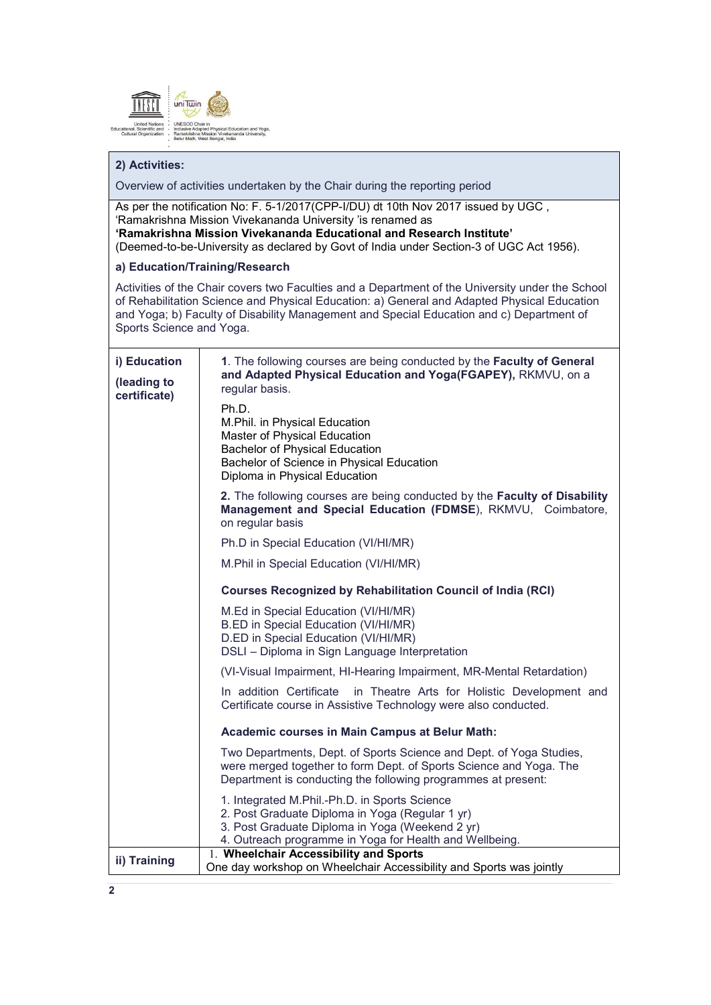

## **2) Activities:**

Overview of activities undertaken by the Chair during the reporting period

As per the notification No: F. 5-1/2017(CPP-I/DU) dt 10th Nov 2017 issued by UGC , 'Ramakrishna Mission Vivekananda University 'is renamed as **'Ramakrishna Mission Vivekananda Educational and Research Institute'**

(Deemed-to-be-University as declared by Govt of India under Section-3 of UGC Act 1956).

## **a) Education/Training/Research**

Activities of the Chair covers two Faculties and a Department of the University under the School of Rehabilitation Science and Physical Education: a) General and Adapted Physical Education and Yoga; b) Faculty of Disability Management and Special Education and c) Department of Sports Science and Yoga.

| i) Education<br>(leading to<br>certificate) | 1. The following courses are being conducted by the Faculty of General<br>and Adapted Physical Education and Yoga(FGAPEY), RKMVU, on a<br>regular basis.                                                       |
|---------------------------------------------|----------------------------------------------------------------------------------------------------------------------------------------------------------------------------------------------------------------|
|                                             | Ph.D.<br>M.Phil. in Physical Education<br>Master of Physical Education<br><b>Bachelor of Physical Education</b><br>Bachelor of Science in Physical Education<br>Diploma in Physical Education                  |
|                                             | 2. The following courses are being conducted by the Faculty of Disability<br>Management and Special Education (FDMSE), RKMVU, Coimbatore,<br>on regular basis                                                  |
|                                             | Ph.D in Special Education (VI/HI/MR)                                                                                                                                                                           |
|                                             | M.Phil in Special Education (VI/HI/MR)                                                                                                                                                                         |
|                                             | <b>Courses Recognized by Rehabilitation Council of India (RCI)</b>                                                                                                                                             |
|                                             | M.Ed in Special Education (VI/HI/MR)<br>B.ED in Special Education (VI/HI/MR)<br>D.ED in Special Education (VI/HI/MR)<br>DSLI - Diploma in Sign Language Interpretation                                         |
|                                             | (VI-Visual Impairment, HI-Hearing Impairment, MR-Mental Retardation)                                                                                                                                           |
|                                             | In addition Certificate<br>in Theatre Arts for Holistic Development and<br>Certificate course in Assistive Technology were also conducted.                                                                     |
|                                             | Academic courses in Main Campus at Belur Math:                                                                                                                                                                 |
|                                             | Two Departments, Dept. of Sports Science and Dept. of Yoga Studies,<br>were merged together to form Dept. of Sports Science and Yoga. The<br>Department is conducting the following programmes at present:     |
|                                             | 1. Integrated M.Phil.-Ph.D. in Sports Science<br>2. Post Graduate Diploma in Yoga (Regular 1 yr)<br>3. Post Graduate Diploma in Yoga (Weekend 2 yr)<br>4. Outreach programme in Yoga for Health and Wellbeing. |
| ii) Training                                | 1. Wheelchair Accessibility and Sports<br>One day workshop on Wheelchair Accessibility and Sports was jointly                                                                                                  |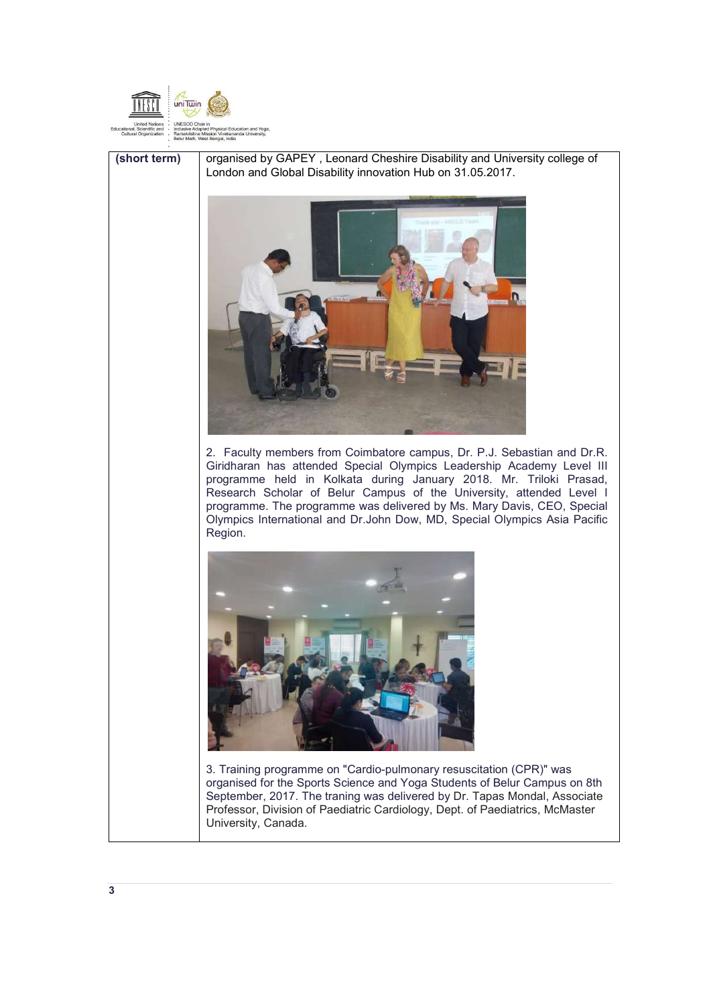



(short term) | organised by GAPEY, Leonard Cheshire Disability and University college of London and Global Disability innovation Hub on 31.05.2017.



2. Faculty members from Coimbatore campus, Dr. P.J. Sebastian and Dr.R. Giridharan has attended Special Olympics Leadership Academy Level III programme held in Kolkata during January 2018. Mr. Triloki Prasad, Research Scholar of Belur Campus of the University, attended Level I programme. The programme was delivered by Ms. Mary Davis, CEO, Special Olympics International and Dr.John Dow, MD, Special Olympics Asia Pacific Region.



3. Training programme on "Cardio-pulmonary resuscitation (CPR)" was organised for the Sports Science and Yoga Students of Belur Campus on 8th September, 2017. The traning was delivered by Dr. Tapas Mondal, Associate Professor, Division of Paediatric Cardiology, Dept. of Paediatrics, McMaster University, Canada.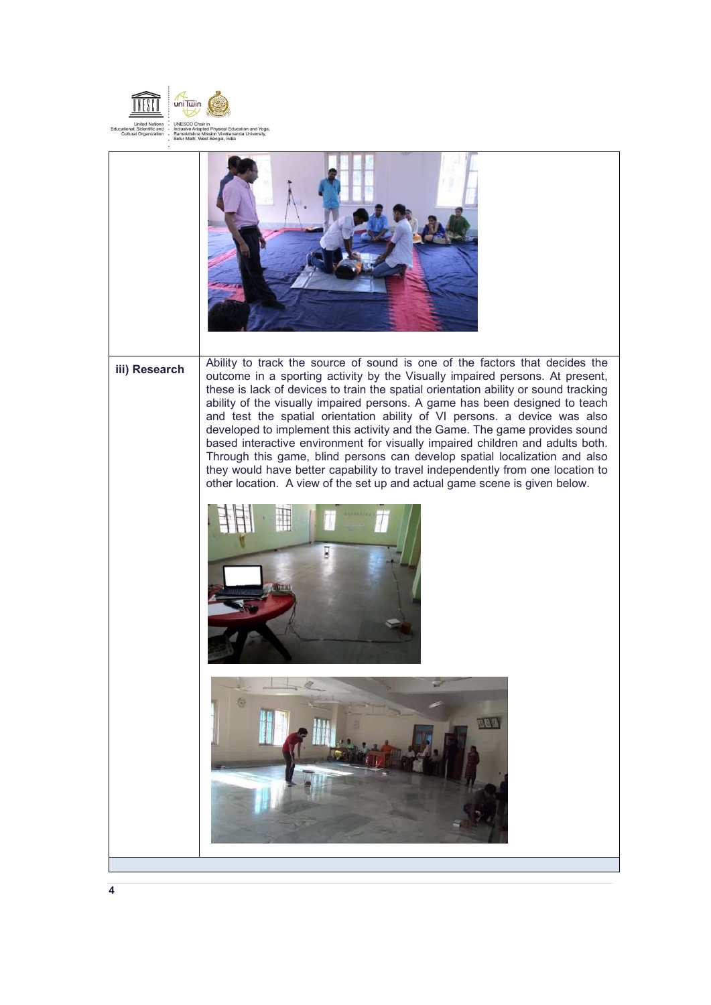

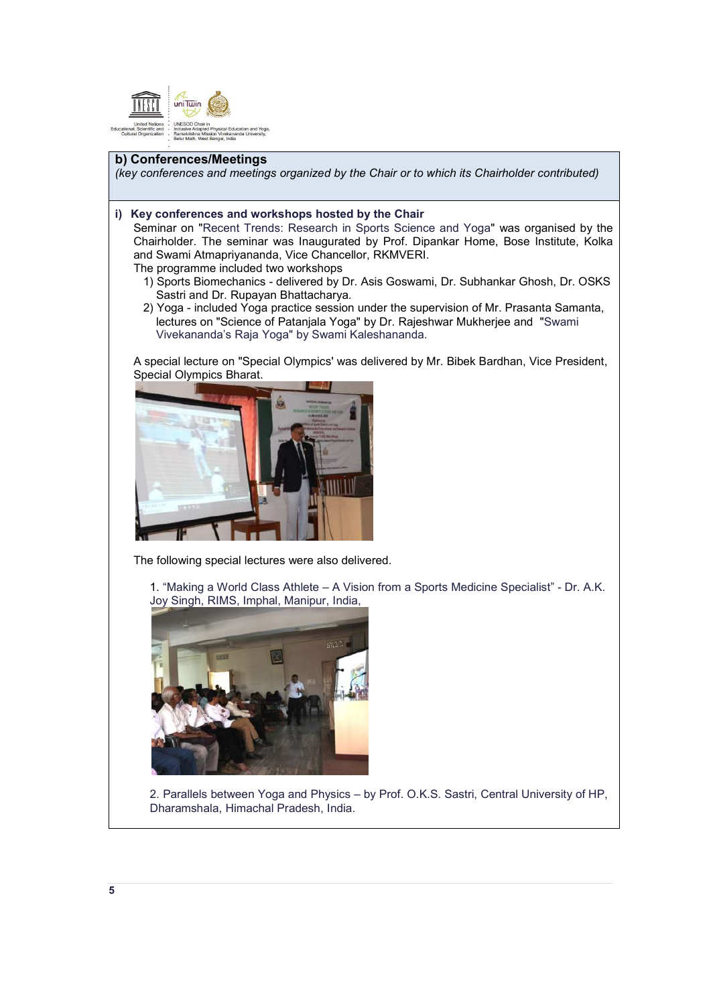

### **b) Conferences/Meetings**

*(key conferences and meetings organized by the Chair or to which its Chairholder contributed)* 

#### **i) Key conferences and workshops hosted by the Chair**

Seminar on "Recent Trends: Research in Sports Science and Yoga" was organised by the Chairholder. The seminar was Inaugurated by Prof. Dipankar Home, Bose Institute, Kolka and Swami Atmapriyananda, Vice Chancellor, RKMVERI.

The programme included two workshops

- 1) Sports Biomechanics delivered by Dr. Asis Goswami, Dr. Subhankar Ghosh, Dr. OSKS Sastri and Dr. Rupayan Bhattacharya.
- 2) Yoga included Yoga practice session under the supervision of Mr. Prasanta Samanta, lectures on "Science of Patanjala Yoga" by Dr. Rajeshwar Mukherjee and "Swami Vivekananda's Raja Yoga" by Swami Kaleshananda.

A special lecture on "Special Olympics' was delivered by Mr. Bibek Bardhan, Vice President, Special Olympics Bharat.



The following special lectures were also delivered.

1. "Making a World Class Athlete – A Vision from a Sports Medicine Specialist" - Dr. A.K. Joy Singh, RIMS, Imphal, Manipur, India,



2. Parallels between Yoga and Physics – by Prof. O.K.S. Sastri, Central University of HP, Dharamshala, Himachal Pradesh, India.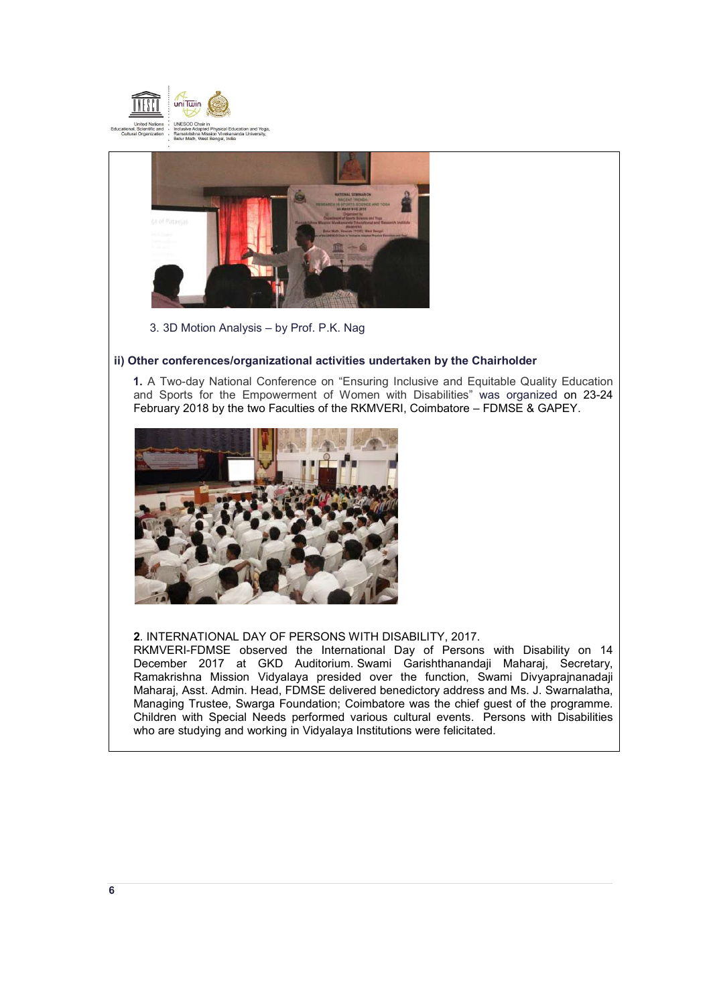



3. 3D Motion Analysis – by Prof. P.K. Nag

## **ii) Other conferences/organizational activities undertaken by the Chairholder**

 **1.** A Two-day National Conference on "Ensuring Inclusive and Equitable Quality Education and Sports for the Empowerment of Women with Disabilities" was organized on 23-24 February 2018 by the two Faculties of the RKMVERI, Coimbatore – FDMSE & GAPEY.



## **2**. INTERNATIONAL DAY OF PERSONS WITH DISABILITY, 2017.

RKMVERI-FDMSE observed the International Day of Persons with Disability on 14 December 2017 at GKD Auditorium. Swami Garishthanandaji Maharaj, Secretary, Ramakrishna Mission Vidyalaya presided over the function, Swami Divyaprajnanadaji Maharaj, Asst. Admin. Head, FDMSE delivered benedictory address and Ms. J. Swarnalatha, Managing Trustee, Swarga Foundation; Coimbatore was the chief guest of the programme. Children with Special Needs performed various cultural events. Persons with Disabilities who are studying and working in Vidyalaya Institutions were felicitated.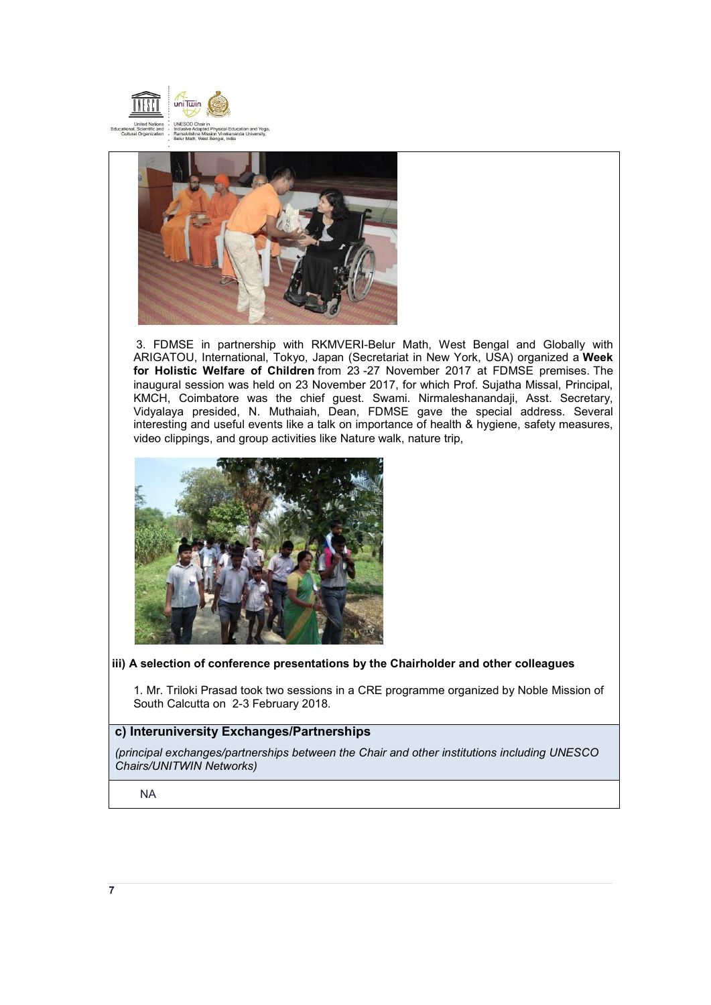



 3. FDMSE in partnership with RKMVERI-Belur Math, West Bengal and Globally with ARIGATOU, International, Tokyo, Japan (Secretariat in New York, USA) organized a **Week for Holistic Welfare of Children** from 23 -27 November 2017 at FDMSE premises. The inaugural session was held on 23 November 2017, for which Prof. Sujatha Missal, Principal, KMCH, Coimbatore was the chief guest. Swami. Nirmaleshanandaji, Asst. Secretary, Vidyalaya presided, N. Muthaiah, Dean, FDMSE gave the special address. Several interesting and useful events like a talk on importance of health & hygiene, safety measures, video clippings, and group activities like Nature walk, nature trip,



## **iii) A selection of conference presentations by the Chairholder and other colleagues**

1. Mr. Triloki Prasad took two sessions in a CRE programme organized by Noble Mission of South Calcutta on 2-3 February 2018.

## **c) Interuniversity Exchanges/Partnerships**

*(principal exchanges/partnerships between the Chair and other institutions including UNESCO Chairs/UNITWIN Networks)*

NA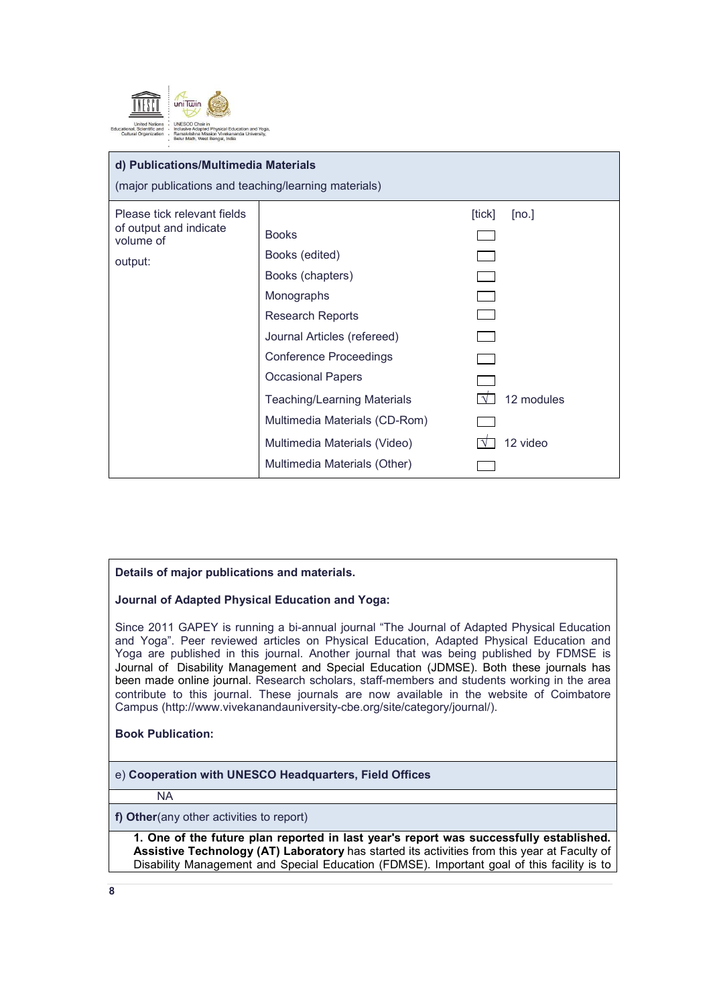

## **d) Publications/Multimedia Materials**

(major publications and teaching/learning materials)

| Please tick relevant fields<br>of output and indicate<br>volume of<br>output: | <b>Books</b><br>Books (edited)<br>Books (chapters)<br>Monographs<br><b>Research Reports</b><br>Journal Articles (refereed)<br><b>Conference Proceedings</b><br><b>Occasional Papers</b><br><b>Teaching/Learning Materials</b><br>Multimedia Materials (CD-Rom)<br>Multimedia Materials (Video)<br>Multimedia Materials (Other) | [tick]<br>[no.]<br>12 modules<br>12 video |
|-------------------------------------------------------------------------------|--------------------------------------------------------------------------------------------------------------------------------------------------------------------------------------------------------------------------------------------------------------------------------------------------------------------------------|-------------------------------------------|
|-------------------------------------------------------------------------------|--------------------------------------------------------------------------------------------------------------------------------------------------------------------------------------------------------------------------------------------------------------------------------------------------------------------------------|-------------------------------------------|

## **Details of major publications and materials.**

**Journal of Adapted Physical Education and Yoga:**

Since 2011 GAPEY is running a bi-annual journal "The Journal of Adapted Physical Education and Yoga". Peer reviewed articles on Physical Education, Adapted Physical Education and Yoga are published in this journal. Another journal that was being published by FDMSE is Journal of Disability Management and Special Education (JDMSE). Both these journals has been made online journal. Research scholars, staff-members and students working in the area contribute to this journal. These journals are now available in the website of Coimbatore Campus (http://www.vivekanandauniversity-cbe.org/site/category/journal/).

## **Book Publication:**

e) **Cooperation with UNESCO Headquarters, Field Offices**

NA

**f) Other**(any other activities to report)

**1. One of the future plan reported in last year's report was successfully established.** **Assistive Technology (AT) Laboratory** has started its activities from this year at Faculty of Disability Management and Special Education (FDMSE). Important goal of this facility is to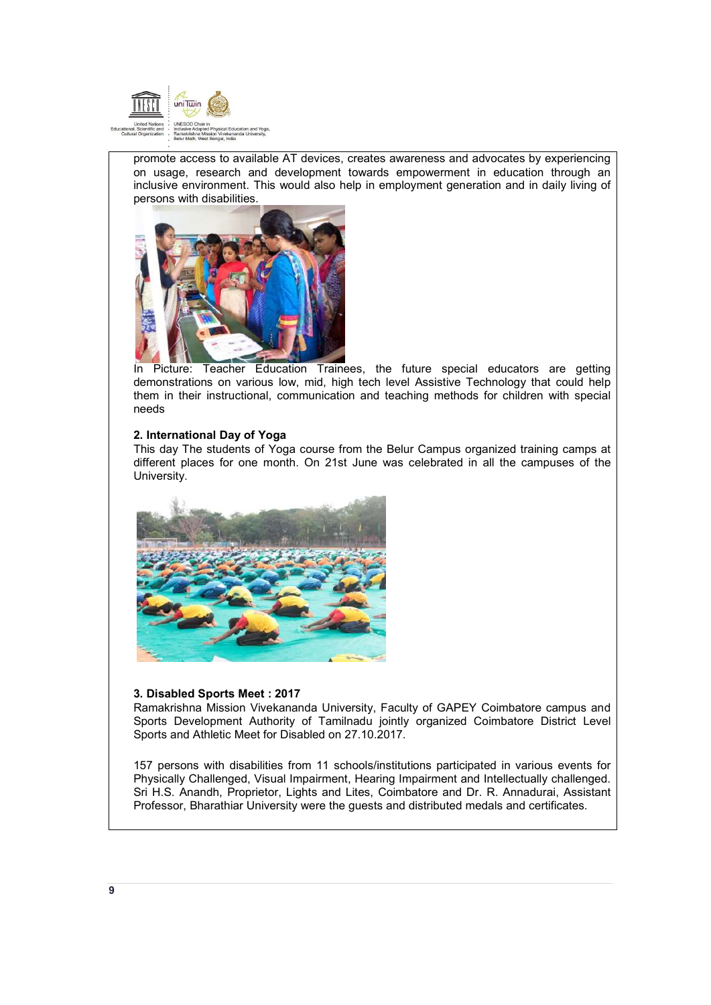

promote access to available AT devices, creates awareness and advocates by experiencing on usage, research and development towards empowerment in education through an inclusive environment. This would also help in employment generation and in daily living of persons with disabilities.



In Picture: Teacher Education Trainees, the future special educators are getting demonstrations on various low, mid, high tech level Assistive Technology that could help them in their instructional, communication and teaching methods for children with special needs

## **2. International Day of Yoga**

This day The students of Yoga course from the Belur Campus organized training camps at different places for one month. On 21st June was celebrated in all the campuses of the University.



#### **3. Disabled Sports Meet : 2017**

Ramakrishna Mission Vivekananda University, Faculty of GAPEY Coimbatore campus and Sports Development Authority of Tamilnadu jointly organized Coimbatore District Level Sports and Athletic Meet for Disabled on 27.10.2017.

157 persons with disabilities from 11 schools/institutions participated in various events for Physically Challenged, Visual Impairment, Hearing Impairment and Intellectually challenged. Sri H.S. Anandh, Proprietor, Lights and Lites, Coimbatore and Dr. R. Annadurai, Assistant Professor, Bharathiar University were the guests and distributed medals and certificates.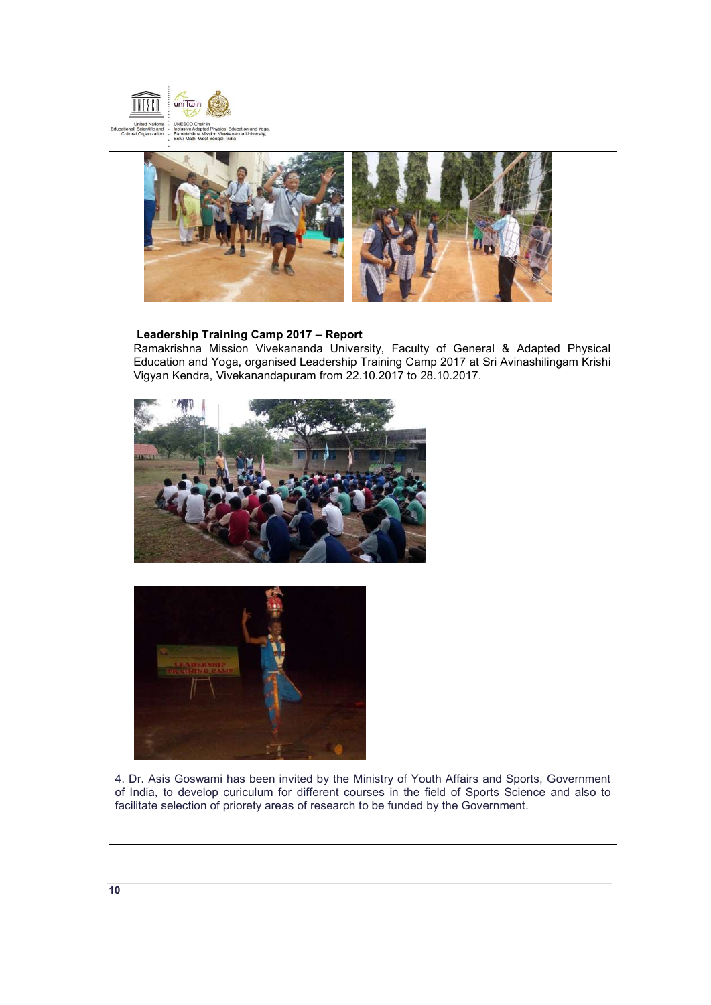



## **Leadership Training Camp 2017 – Report**

Ramakrishna Mission Vivekananda University, Faculty of General & Adapted Physical Education and Yoga, organised Leadership Training Camp 2017 at Sri Avinashilingam Krishi Vigyan Kendra, Vivekanandapuram from 22.10.2017 to 28.10.2017.





4. Dr. Asis Goswami has been invited by the Ministry of Youth Affairs and Sports, Government of India, to develop curiculum for different courses in the field of Sports Science and also to facilitate selection of priorety areas of research to be funded by the Government.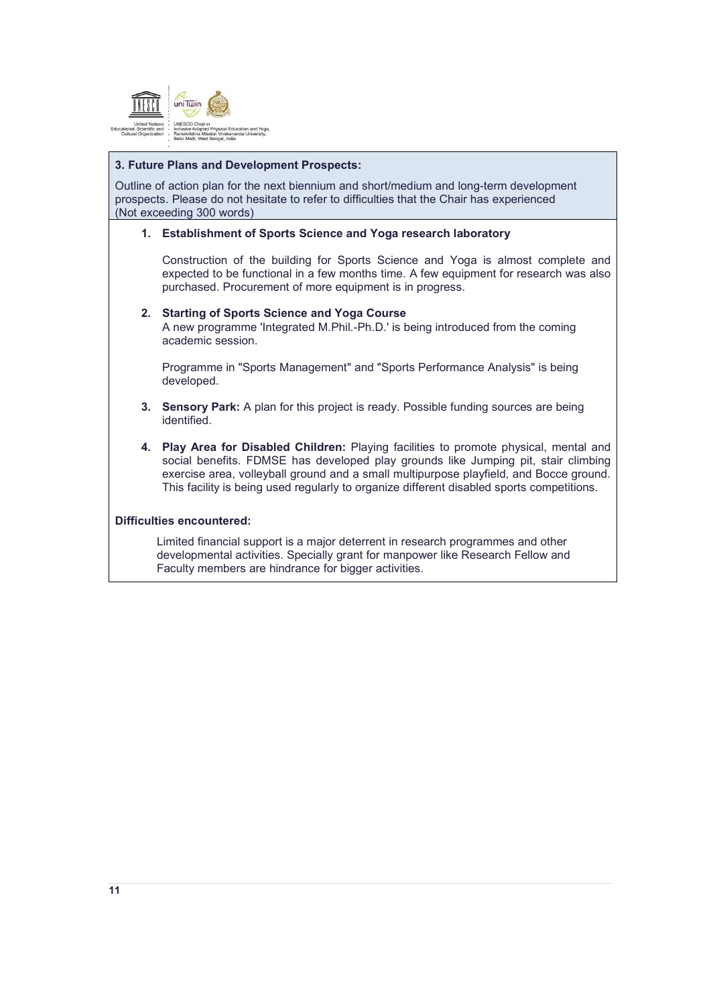

## **3. Future Plans and Development Prospects:**

Outline of action plan for the next biennium and short/medium and long-term development prospects. Please do not hesitate to refer to difficulties that the Chair has experienced (Not exceeding 300 words)

## **1. Establishment of Sports Science and Yoga research laboratory**

Construction of the building for Sports Science and Yoga is almost complete and expected to be functional in a few months time. A few equipment for research was also purchased. Procurement of more equipment is in progress.

#### **2. Starting of Sports Science and Yoga Course**

A new programme 'Integrated M.Phil.-Ph.D.' is being introduced from the coming academic session.

Programme in "Sports Management" and "Sports Performance Analysis" is being developed.

- **3. Sensory Park:** A plan for this project is ready. Possible funding sources are being identified.
- **4. Play Area for Disabled Children:** Playing facilities to promote physical, mental and social benefits. FDMSE has developed play grounds like Jumping pit, stair climbing exercise area, volleyball ground and a small multipurpose playfield, and Bocce ground. This facility is being used regularly to organize different disabled sports competitions.

## **Difficulties encountered:**

Limited financial support is a major deterrent in research programmes and other developmental activities. Specially grant for manpower like Research Fellow and Faculty members are hindrance for bigger activities.